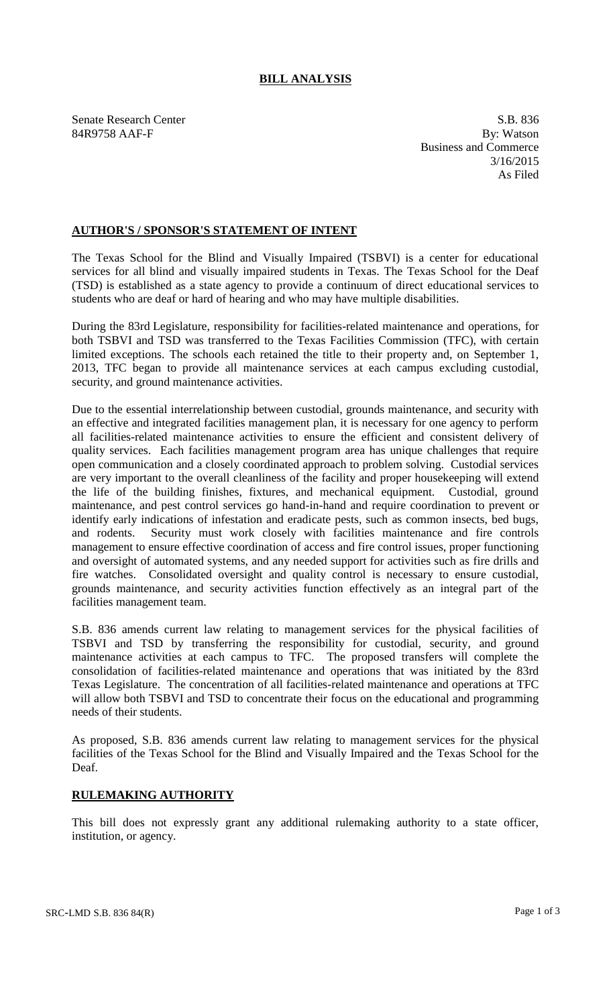## **BILL ANALYSIS**

84R9758 AAF-F

Senate Research Center S.B. 836<br>
84R9758 AAF-F By: Watson Business and Commerce 3/16/2015 As Filed

## **AUTHOR'S / SPONSOR'S STATEMENT OF INTENT**

The Texas School for the Blind and Visually Impaired (TSBVI) is a center for educational services for all blind and visually impaired students in Texas. The Texas School for the Deaf (TSD) is established as a state agency to provide a continuum of direct educational services to students who are deaf or hard of hearing and who may have multiple disabilities.

During the 83rd Legislature, responsibility for facilities-related maintenance and operations, for both TSBVI and TSD was transferred to the Texas Facilities Commission (TFC), with certain limited exceptions. The schools each retained the title to their property and, on September 1, 2013, TFC began to provide all maintenance services at each campus excluding custodial, security, and ground maintenance activities.

Due to the essential interrelationship between custodial, grounds maintenance, and security with an effective and integrated facilities management plan, it is necessary for one agency to perform all facilities-related maintenance activities to ensure the efficient and consistent delivery of quality services. Each facilities management program area has unique challenges that require open communication and a closely coordinated approach to problem solving. Custodial services are very important to the overall cleanliness of the facility and proper housekeeping will extend the life of the building finishes, fixtures, and mechanical equipment. Custodial, ground maintenance, and pest control services go hand-in-hand and require coordination to prevent or identify early indications of infestation and eradicate pests, such as common insects, bed bugs, and rodents. Security must work closely with facilities maintenance and fire controls management to ensure effective coordination of access and fire control issues, proper functioning and oversight of automated systems, and any needed support for activities such as fire drills and fire watches. Consolidated oversight and quality control is necessary to ensure custodial, grounds maintenance, and security activities function effectively as an integral part of the facilities management team.

S.B. 836 amends current law relating to management services for the physical facilities of TSBVI and TSD by transferring the responsibility for custodial, security, and ground maintenance activities at each campus to TFC. The proposed transfers will complete the consolidation of facilities-related maintenance and operations that was initiated by the 83rd Texas Legislature. The concentration of all facilities-related maintenance and operations at TFC will allow both TSBVI and TSD to concentrate their focus on the educational and programming needs of their students.

As proposed, S.B. 836 amends current law relating to management services for the physical facilities of the Texas School for the Blind and Visually Impaired and the Texas School for the Deaf.

## **RULEMAKING AUTHORITY**

This bill does not expressly grant any additional rulemaking authority to a state officer, institution, or agency.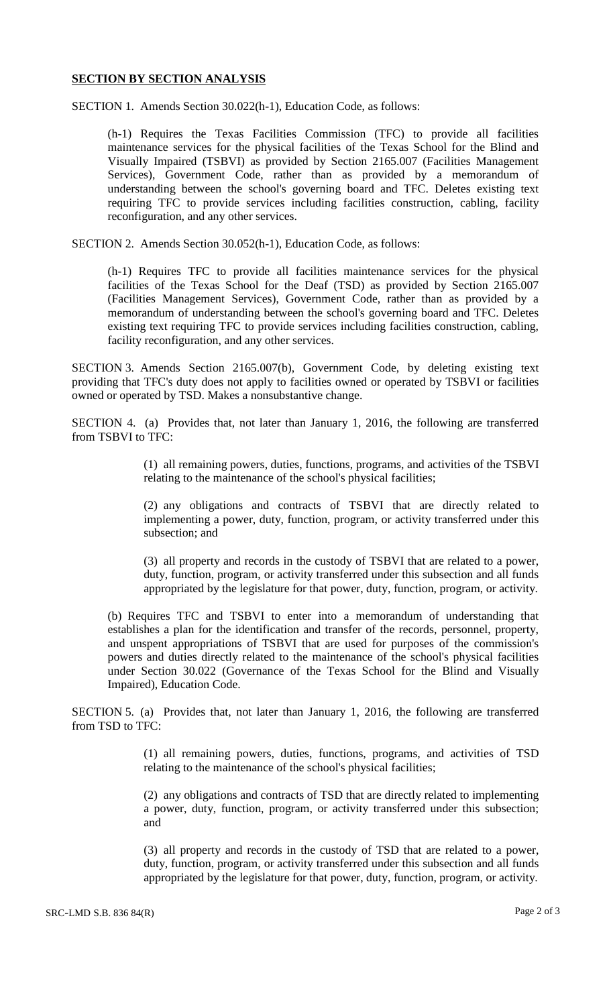## **SECTION BY SECTION ANALYSIS**

SECTION 1. Amends Section 30.022(h-1), Education Code, as follows:

(h-1) Requires the Texas Facilities Commission (TFC) to provide all facilities maintenance services for the physical facilities of the Texas School for the Blind and Visually Impaired (TSBVI) as provided by Section 2165.007 (Facilities Management Services), Government Code, rather than as provided by a memorandum of understanding between the school's governing board and TFC. Deletes existing text requiring TFC to provide services including facilities construction, cabling, facility reconfiguration, and any other services.

SECTION 2. Amends Section 30.052(h-1), Education Code, as follows:

(h-1) Requires TFC to provide all facilities maintenance services for the physical facilities of the Texas School for the Deaf (TSD) as provided by Section 2165.007 (Facilities Management Services), Government Code, rather than as provided by a memorandum of understanding between the school's governing board and TFC. Deletes existing text requiring TFC to provide services including facilities construction, cabling, facility reconfiguration, and any other services.

SECTION 3. Amends Section 2165.007(b), Government Code, by deleting existing text providing that TFC's duty does not apply to facilities owned or operated by TSBVI or facilities owned or operated by TSD. Makes a nonsubstantive change.

SECTION 4. (a) Provides that, not later than January 1, 2016, the following are transferred from TSBVI to TFC:

> (1) all remaining powers, duties, functions, programs, and activities of the TSBVI relating to the maintenance of the school's physical facilities;

> (2) any obligations and contracts of TSBVI that are directly related to implementing a power, duty, function, program, or activity transferred under this subsection; and

> (3) all property and records in the custody of TSBVI that are related to a power, duty, function, program, or activity transferred under this subsection and all funds appropriated by the legislature for that power, duty, function, program, or activity.

(b) Requires TFC and TSBVI to enter into a memorandum of understanding that establishes a plan for the identification and transfer of the records, personnel, property, and unspent appropriations of TSBVI that are used for purposes of the commission's powers and duties directly related to the maintenance of the school's physical facilities under Section 30.022 (Governance of the Texas School for the Blind and Visually Impaired), Education Code.

SECTION 5. (a) Provides that, not later than January 1, 2016, the following are transferred from TSD to TFC:

> (1) all remaining powers, duties, functions, programs, and activities of TSD relating to the maintenance of the school's physical facilities;

> (2) any obligations and contracts of TSD that are directly related to implementing a power, duty, function, program, or activity transferred under this subsection; and

> (3) all property and records in the custody of TSD that are related to a power, duty, function, program, or activity transferred under this subsection and all funds appropriated by the legislature for that power, duty, function, program, or activity.